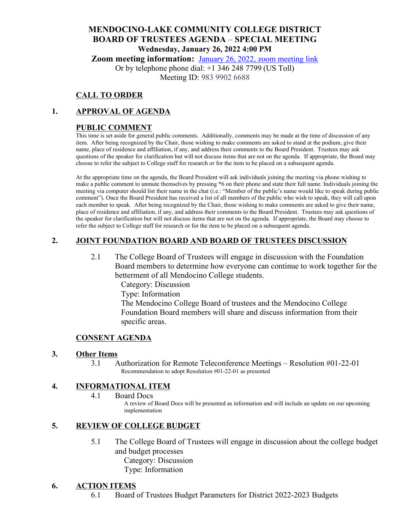# **MENDOCINO-LAKE COMMUNITY COLLEGE DISTRICT BOARD OF TRUSTEES AGENDA** – **SPECIAL MEETING Wednesday, January 26, 2022 4:00 PM**

**Zoom meeting information:** January [26, 2022, zoom meeting link](https://mendocino-edu.zoom.us/j/98399026688)

Or by telephone phone dial: +1 346 248 7799 (US Toll) Meeting ID: 983 9902 6688

## **CALL TO ORDER**

## **1. APPROVAL OF AGENDA**

## **PUBLIC COMMENT**

This time is set aside for general public comments. Additionally, comments may be made at the time of discussion of any item. After being recognized by the Chair, those wishing to make comments are asked to stand at the podium, give their name, place of residence and affiliation, if any, and address their comments to the Board President. Trustees may ask questions of the speaker for clarification but will not discuss items that are not on the agenda. If appropriate, the Board may choose to refer the subject to College staff for research or for the item to be placed on a subsequent agenda.

At the appropriate time on the agenda, the Board President will ask individuals joining the meeting via phone wishing to make a public comment to unmute themselves by pressing \*6 on their phone and state their full name. Individuals joining the meeting via computer should list their name in the chat (i.e.: "Member of the public's name would like to speak during public comment"). Once the Board President has received a list of all members of the public who wish to speak, they will call upon each member to speak. After being recognized by the Chair, those wishing to make comments are asked to give their name, place of residence and affiliation, if any, and address their comments to the Board President. Trustees may ask questions of the speaker for clarification but will not discuss items that are not on the agenda. If appropriate, the Board may choose to refer the subject to College staff for research or for the item to be placed on a subsequent agenda.

# **2. JOINT FOUNDATION BOARD AND BOARD OF TRUSTEES DISCUSSION**

2.1 The College Board of Trustees will engage in discussion with the Foundation Board members to determine how everyone can continue to work together for the betterment of all Mendocino College students.

Category: Discussion Type: Information The Mendocino College Board of trustees and the Mendocino College Foundation Board members will share and discuss information from their specific areas.

## **CONSENT AGENDA**

#### **3. Other Items**

3.1 Authorization for Remote Teleconference Meetings – Resolution #01-22-01 Recommendation to adopt Resolution #01-22-01 as presented

## **4. INFORMATIONAL ITEM**

4.1 Board Docs

A review of Board Docs will be presented as information and will include an update on our upcoming implementation

## **5. REVIEW OF COLLEGE BUDGET**

- 5.1 The College Board of Trustees will engage in discussion about the college budget and budget processes Category: Discussion
	- Type: Information

## **6. ACTION ITEMS**

6.1 Board of Trustees Budget Parameters for District 2022-2023 Budgets